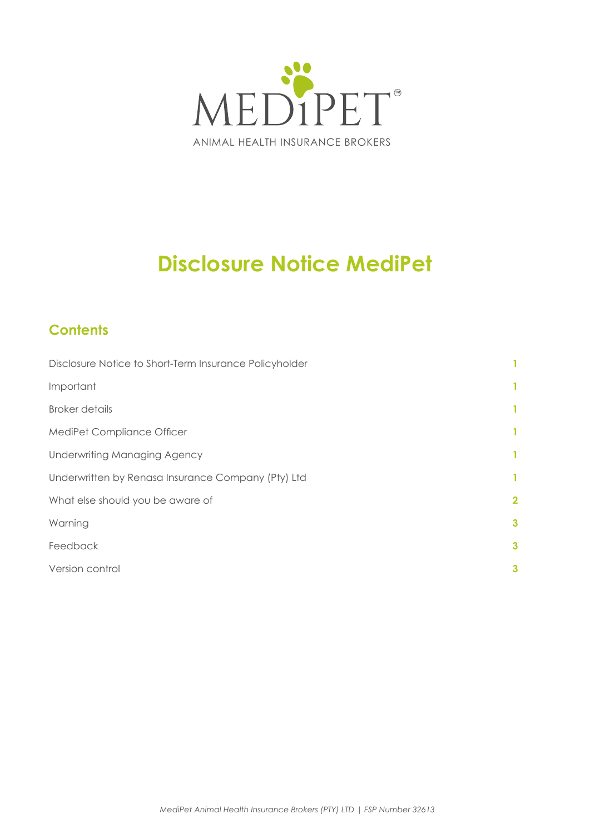

# **Disclosure Notice MediPet**

# **Contents**

| Disclosure Notice to Short-Term Insurance Policyholder |                         |
|--------------------------------------------------------|-------------------------|
| Important                                              | 1                       |
| <b>Broker details</b>                                  | 1                       |
| MediPet Compliance Officer                             | 1                       |
| <b>Underwriting Managing Agency</b>                    | 1                       |
| Underwritten by Renasa Insurance Company (Pty) Ltd     | 1.                      |
| What else should you be aware of                       | $\overline{\mathbf{2}}$ |
| Warning                                                | $\mathbf{3}$            |
| Feedback                                               | 3                       |
| Version control                                        | 3                       |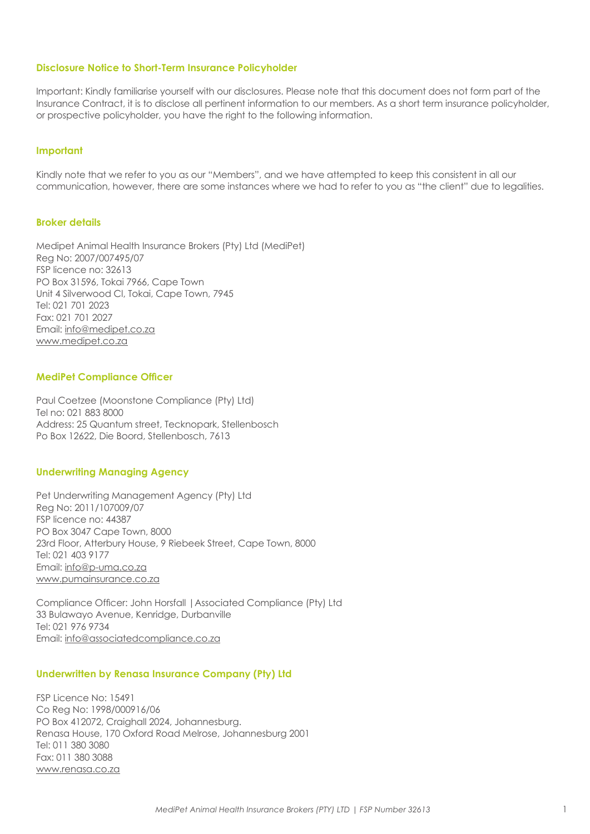#### <span id="page-1-0"></span>**Disclosure Notice to Short-Term Insurance Policyholder**

Important: Kindly familiarise yourself with our disclosures. Please note that this document does not form part of the Insurance Contract, it is to disclose all pertinent information to our members. As a short term insurance policyholder, or prospective policyholder, you have the right to the following information.

#### **Important**

Kindly note that we refer to you as our "Members", and we have attempted to keep this consistent in all our communication, however, there are some instances where we had to refer to you as "the client" due to legalities.

#### **Broker details**

Medipet Animal Health Insurance Brokers (Pty) Ltd (MediPet) Reg No: 2007/007495/07 FSP licence no: 32613 PO Box 31596, Tokai 7966, Cape Town Unit 4 Silverwood Cl, Tokai, Cape Town, 7945 Tel: 021 701 2023 Fax: 021 701 2027 Email: info@medipet.co.za www.medipet.co.za

#### **MediPet Compliance Officer**

Paul Coetzee (Moonstone Compliance (Pty) Ltd) Tel no: 021 883 8000 Address: 25 Quantum street, Tecknopark, Stellenbosch Po Box 12622, Die Boord, Stellenbosch, 7613

#### **Underwriting Managing Agency**

Pet Underwriting Management Agency (Pty) Ltd Reg No: 2011/107009/07 FSP licence no: 44387 PO Box 3047 Cape Town, 8000 23rd Floor, Atterbury House, 9 Riebeek Street, Cape Town, 8000 Tel: 021 403 9177 Email: info@p-uma.co.za www.pumainsurance.co.za

Compliance Officer: John Horsfall |Associated Compliance (Pty) Ltd 33 Bulawayo Avenue, Kenridge, Durbanville Tel: 021 976 9734 Email: info@associatedcompliance.co.za

#### **Underwritten by Renasa Insurance Company (Pty) Ltd**

FSP Licence No: 15491 Co Reg No: 1998/000916/06 PO Box 412072, Craighall 2024, Johannesburg. Renasa House, 170 Oxford Road Melrose, Johannesburg 2001 Tel: 011 380 3080 Fax: 011 380 3088 www.renasa.co.za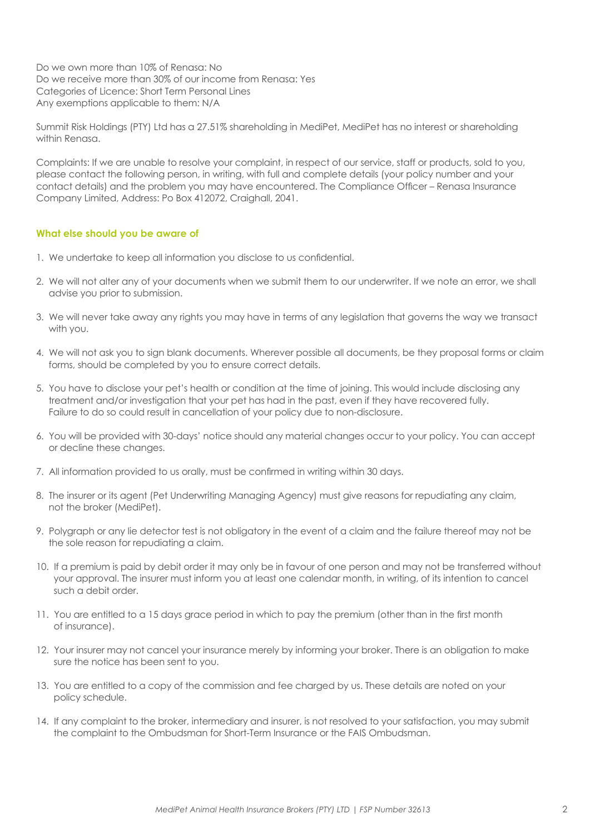<span id="page-2-0"></span>Do we own more than 10% of Renasa: No Do we receive more than 30% of our income from Renasa: Yes Categories of Licence: Short Term Personal Lines Any exemptions applicable to them: N/A

Summit Risk Holdings (PTY) Ltd has a 27.51% shareholding in MediPet, MediPet has no interest or shareholding within Renasa.

Complaints: If we are unable to resolve your complaint, in respect of our service, staff or products, sold to you, please contact the following person, in writing, with full and complete details (your policy number and your contact details) and the problem you may have encountered. The Compliance Officer – Renasa Insurance Company Limited, Address: Po Box 412072, Craighall, 2041.

#### **What else should you be aware of**

- 1. We undertake to keep all information you disclose to us confidential.
- 2. We will not alter any of your documents when we submit them to our underwriter. If we note an error, we shall advise you prior to submission.
- 3. We will never take away any rights you may have in terms of any legislation that governs the way we transact with you.
- 4. We will not ask you to sign blank documents. Wherever possible all documents, be they proposal forms or claim forms, should be completed by you to ensure correct details.
- 5. You have to disclose your pet's health or condition at the time of joining. This would include disclosing any treatment and/or investigation that your pet has had in the past, even if they have recovered fully. Failure to do so could result in cancellation of your policy due to non-disclosure.
- 6. You will be provided with 30-days' notice should any material changes occur to your policy. You can accept or decline these changes.
- 7. All information provided to us orally, must be confirmed in writing within 30 days.
- 8. The insurer or its agent (Pet Underwriting Managing Agency) must give reasons for repudiating any claim, not the broker (MediPet).
- 9. Polygraph or any lie detector test is not obligatory in the event of a claim and the failure thereof may not be the sole reason for repudiating a claim.
- 10. If a premium is paid by debit order it may only be in favour of one person and may not be transferred without your approval. The insurer must inform you at least one calendar month, in writing, of its intention to cancel such a debit order.
- 11. You are entitled to a 15 days grace period in which to pay the premium (other than in the first month of insurance).
- 12. Your insurer may not cancel your insurance merely by informing your broker. There is an obligation to make sure the notice has been sent to you.
- 13. You are entitled to a copy of the commission and fee charged by us. These details are noted on your policy schedule.
- 14. If any complaint to the broker, intermediary and insurer, is not resolved to your satisfaction, you may submit the complaint to the Ombudsman for Short-Term Insurance or the FAIS Ombudsman.